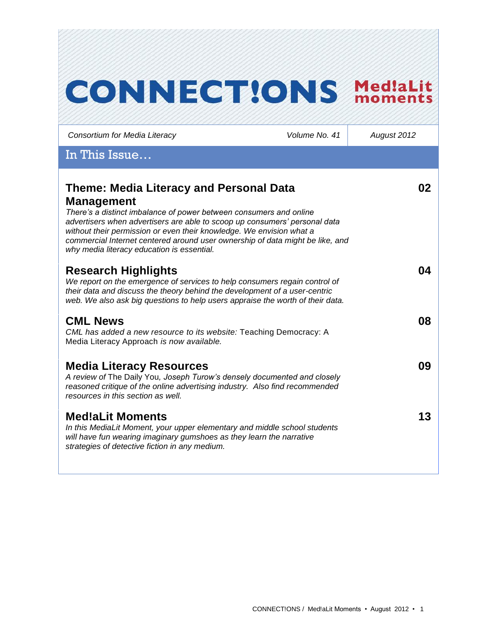| <b>CONNECT!ONS</b>                                                                                                                                                                                                                                                                                                                                                                                                             |               | Med!aLit<br>moments |
|--------------------------------------------------------------------------------------------------------------------------------------------------------------------------------------------------------------------------------------------------------------------------------------------------------------------------------------------------------------------------------------------------------------------------------|---------------|---------------------|
| Consortium for Media Literacy                                                                                                                                                                                                                                                                                                                                                                                                  | Volume No. 41 | August 2012         |
| In This Issue                                                                                                                                                                                                                                                                                                                                                                                                                  |               |                     |
| <b>Theme: Media Literacy and Personal Data</b><br><b>Management</b><br>There's a distinct imbalance of power between consumers and online<br>advertisers when advertisers are able to scoop up consumers' personal data<br>without their permission or even their knowledge. We envision what a<br>commercial Internet centered around user ownership of data might be like, and<br>why media literacy education is essential. |               | 02                  |
| <b>Research Highlights</b><br>We report on the emergence of services to help consumers regain control of<br>their data and discuss the theory behind the development of a user-centric<br>web. We also ask big questions to help users appraise the worth of their data.                                                                                                                                                       |               | 04                  |
| <b>CML News</b><br>CML has added a new resource to its website: Teaching Democracy: A<br>Media Literacy Approach is now available.                                                                                                                                                                                                                                                                                             |               | 08                  |
| <b>Media Literacy Resources</b><br>A review of The Daily You, Joseph Turow's densely documented and closely<br>reasoned critique of the online advertising industry. Also find recommended<br>resources in this section as well.                                                                                                                                                                                               |               | 09                  |
| <b>Med!aLit Moments</b><br>In this MediaLit Moment, your upper elementary and middle school students<br>will have fun wearing imaginary gumshoes as they learn the narrative<br>strategies of detective fiction in any medium.                                                                                                                                                                                                 |               | 13                  |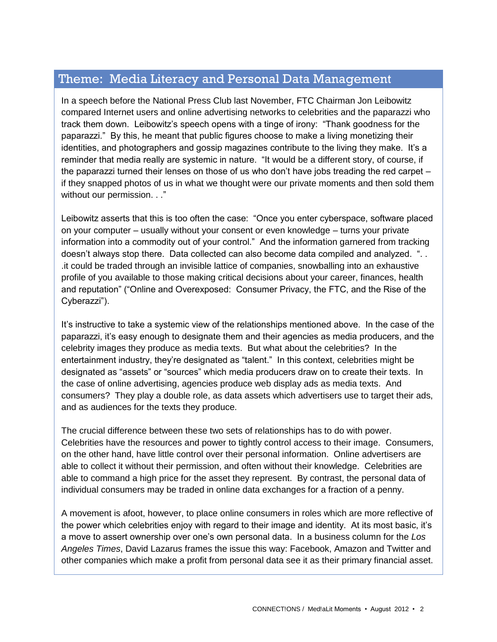# Theme: Media Literacy and Personal Data Management

In a speech before the National Press Club last November, FTC Chairman Jon Leibowitz compared Internet users and online advertising networks to celebrities and the paparazzi who track them down. Leibowitz's speech opens with a tinge of irony: "Thank goodness for the paparazzi." By this, he meant that public figures choose to make a living monetizing their identities, and photographers and gossip magazines contribute to the living they make. It's a reminder that media really are systemic in nature. "It would be a different story, of course, if the paparazzi turned their lenses on those of us who don't have jobs treading the red carpet – if they snapped photos of us in what we thought were our private moments and then sold them without our permission. . ."

Leibowitz asserts that this is too often the case: "Once you enter cyberspace, software placed on your computer – usually without your consent or even knowledge – turns your private information into a commodity out of your control." And the information garnered from tracking doesn't always stop there. Data collected can also become data compiled and analyzed. ". . .it could be traded through an invisible lattice of companies, snowballing into an exhaustive profile of you available to those making critical decisions about your career, finances, health and reputation" ("Online and Overexposed: Consumer Privacy, the FTC, and the Rise of the Cyberazzi").

It's instructive to take a systemic view of the relationships mentioned above. In the case of the paparazzi, it's easy enough to designate them and their agencies as media producers, and the celebrity images they produce as media texts. But what about the celebrities? In the entertainment industry, they're designated as "talent." In this context, celebrities might be designated as "assets" or "sources" which media producers draw on to create their texts. In the case of online advertising, agencies produce web display ads as media texts. And consumers? They play a double role, as data assets which advertisers use to target their ads, and as audiences for the texts they produce.

The crucial difference between these two sets of relationships has to do with power. Celebrities have the resources and power to tightly control access to their image. Consumers, on the other hand, have little control over their personal information. Online advertisers are able to collect it without their permission, and often without their knowledge. Celebrities are able to command a high price for the asset they represent. By contrast, the personal data of individual consumers may be traded in online data exchanges for a fraction of a penny.

A movement is afoot, however, to place online consumers in roles which are more reflective of the power which celebrities enjoy with regard to their image and identity. At its most basic, it's a move to assert ownership over one's own personal data. In a business column for the *Los Angeles Times*, David Lazarus frames the issue this way: Facebook, Amazon and Twitter and other companies which make a profit from personal data see it as their primary financial asset.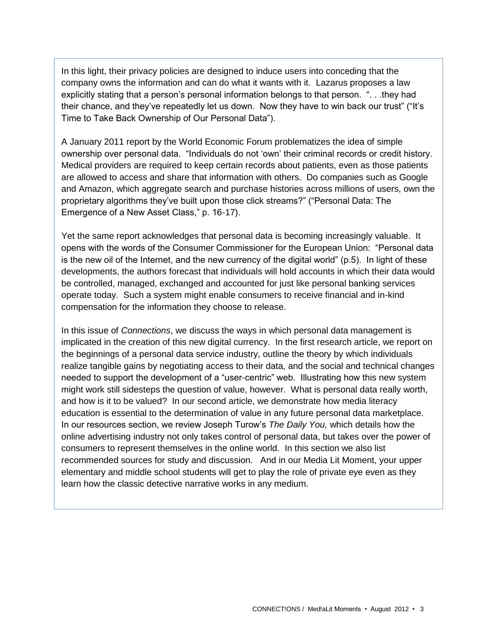In this light, their privacy policies are designed to induce users into conceding that the company owns the information and can do what it wants with it. Lazarus proposes a law explicitly stating that a person's personal information belongs to that person. "... they had their chance, and they've repeatedly let us down. Now they have to win back our trust" ("It's Time to Take Back Ownership of Our Personal Data").

A January 2011 report by the World Economic Forum problematizes the idea of simple ownership over personal data. "Individuals do not 'own' their criminal records or credit history. Medical providers are required to keep certain records about patients, even as those patients are allowed to access and share that information with others. Do companies such as Google and Amazon, which aggregate search and purchase histories across millions of users, own the proprietary algorithms they've built upon those click streams?" ("Personal Data: The Emergence of a New Asset Class," p. 16-17).

Yet the same report acknowledges that personal data is becoming increasingly valuable. It opens with the words of the Consumer Commissioner for the European Union: "Personal data is the new oil of the Internet, and the new currency of the digital world" (p.5). In light of these developments, the authors forecast that individuals will hold accounts in which their data would be controlled, managed, exchanged and accounted for just like personal banking services operate today. Such a system might enable consumers to receive financial and in-kind compensation for the information they choose to release.

In this issue of *Connections*, we discuss the ways in which personal data management is implicated in the creation of this new digital currency. In the first research article, we report on the beginnings of a personal data service industry, outline the theory by which individuals realize tangible gains by negotiating access to their data, and the social and technical changes needed to support the development of a "user-centric" web. Illustrating how this new system might work still sidesteps the question of value, however. What is personal data really worth, and how is it to be valued? In our second article, we demonstrate how media literacy education is essential to the determination of value in any future personal data marketplace. In our resources section, we review Joseph Turow's *The Daily You,* which details how the online advertising industry not only takes control of personal data, but takes over the power of consumers to represent themselves in the online world. In this section we also list recommended sources for study and discussion. And in our Media Lit Moment, your upper elementary and middle school students will get to play the role of private eye even as they learn how the classic detective narrative works in any medium.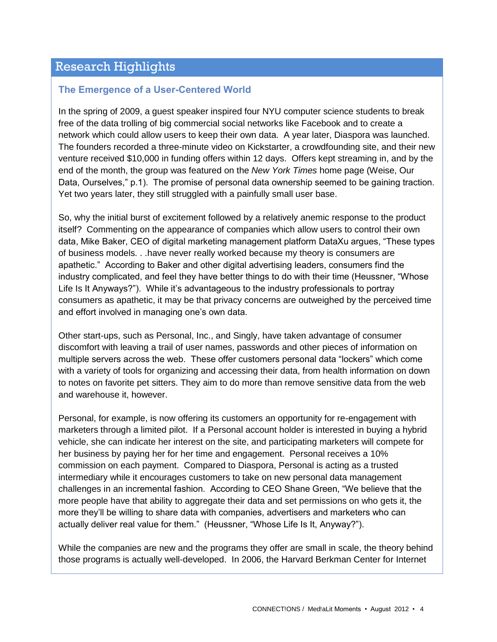# Research Highlights

## **The Emergence of a User-Centered World**

In the spring of 2009, a guest speaker inspired four NYU computer science students to break free of the data trolling of big commercial social networks like Facebook and to create a network which could allow users to keep their own data. A year later, Diaspora was launched. The founders recorded a three-minute video on Kickstarter, a crowdfounding site, and their new venture received \$10,000 in funding offers within 12 days. Offers kept streaming in, and by the end of the month, the group was featured on the *New York Times* home page (Weise, Our Data, Ourselves," p.1). The promise of personal data ownership seemed to be gaining traction. Yet two years later, they still struggled with a painfully small user base.

So, why the initial burst of excitement followed by a relatively anemic response to the product itself? Commenting on the appearance of companies which allow users to control their own data, Mike Baker, CEO of digital marketing management platform DataXu argues, "These types of business models. . .have never really worked because my theory is consumers are apathetic." According to Baker and other digital advertising leaders, consumers find the industry complicated, and feel they have better things to do with their time (Heussner, "Whose Life Is It Anyways?"). While it's advantageous to the industry professionals to portray consumers as apathetic, it may be that privacy concerns are outweighed by the perceived time and effort involved in managing one's own data.

Other start-ups, such as Personal, Inc., and Singly, have taken advantage of consumer discomfort with leaving a trail of user names, passwords and other pieces of information on multiple servers across the web. These offer customers personal data "lockers" which come with a variety of tools for organizing and accessing their data, from health information on down to notes on favorite pet sitters. They aim to do more than remove sensitive data from the web and warehouse it, however.

Personal, for example, is now offering its customers an opportunity for re-engagement with marketers through a limited pilot. If a Personal account holder is interested in buying a hybrid vehicle, she can indicate her interest on the site, and participating marketers will compete for her business by paying her for her time and engagement. Personal receives a 10% commission on each payment. Compared to Diaspora, Personal is acting as a trusted intermediary while it encourages customers to take on new personal data management challenges in an incremental fashion. According to CEO Shane Green, "We believe that the more people have that ability to aggregate their data and set permissions on who gets it, the more they'll be willing to share data with companies, advertisers and marketers who can actually deliver real value for them." (Heussner, "Whose Life Is It, Anyway?").

While the companies are new and the programs they offer are small in scale, the theory behind those programs is actually well-developed. In 2006, the Harvard Berkman Center for Internet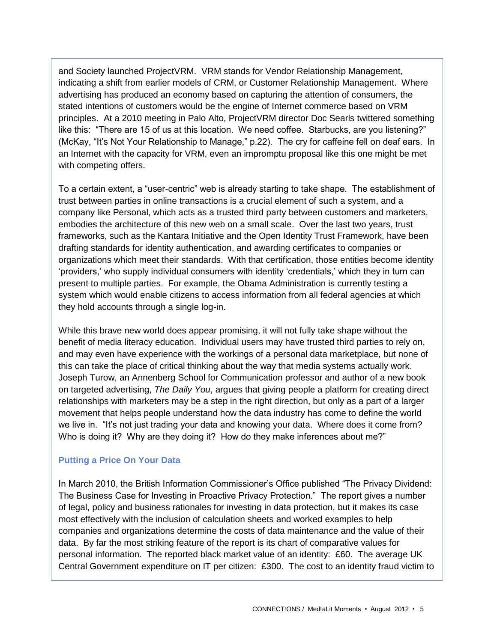and Society launched ProjectVRM. VRM stands for Vendor Relationship Management, indicating a shift from earlier models of CRM, or Customer Relationship Management. Where advertising has produced an economy based on capturing the attention of consumers, the stated intentions of customers would be the engine of Internet commerce based on VRM principles. At a 2010 meeting in Palo Alto, ProjectVRM director Doc Searls twittered something like this: "There are 15 of us at this location. We need coffee. Starbucks, are you listening?" (McKay, "It's Not Your Relationship to Manage," p.22). The cry for caffeine fell on deaf ears. In an Internet with the capacity for VRM, even an impromptu proposal like this one might be met with competing offers.

To a certain extent, a "user-centric" web is already starting to take shape. The establishment of trust between parties in online transactions is a crucial element of such a system, and a company like Personal, which acts as a trusted third party between customers and marketers, embodies the architecture of this new web on a small scale. Over the last two years, trust frameworks, such as the Kantara Initiative and the Open Identity Trust Framework, have been drafting standards for identity authentication, and awarding certificates to companies or organizations which meet their standards. With that certification, those entities become identity 'providers,' who supply individual consumers with identity 'credentials,' which they in turn can present to multiple parties. For example, the Obama Administration is currently testing a system which would enable citizens to access information from all federal agencies at which they hold accounts through a single log-in.

While this brave new world does appear promising, it will not fully take shape without the benefit of media literacy education. Individual users may have trusted third parties to rely on, and may even have experience with the workings of a personal data marketplace, but none of this can take the place of critical thinking about the way that media systems actually work. Joseph Turow, an Annenberg School for Communication professor and author of a new book on targeted advertising, *The Daily You*, argues that giving people a platform for creating direct relationships with marketers may be a step in the right direction, but only as a part of a larger movement that helps people understand how the data industry has come to define the world we live in. "It's not just trading your data and knowing your data. Where does it come from? Who is doing it? Why are they doing it? How do they make inferences about me?"

### **Putting a Price On Your Data**

In March 2010, the British Information Commissioner's Office published "The Privacy Dividend: The Business Case for Investing in Proactive Privacy Protection." The report gives a number of legal, policy and business rationales for investing in data protection, but it makes its case most effectively with the inclusion of calculation sheets and worked examples to help companies and organizations determine the costs of data maintenance and the value of their data. By far the most striking feature of the report is its chart of comparative values for personal information. The reported black market value of an identity: £60. The average UK Central Government expenditure on IT per citizen: £300. The cost to an identity fraud victim to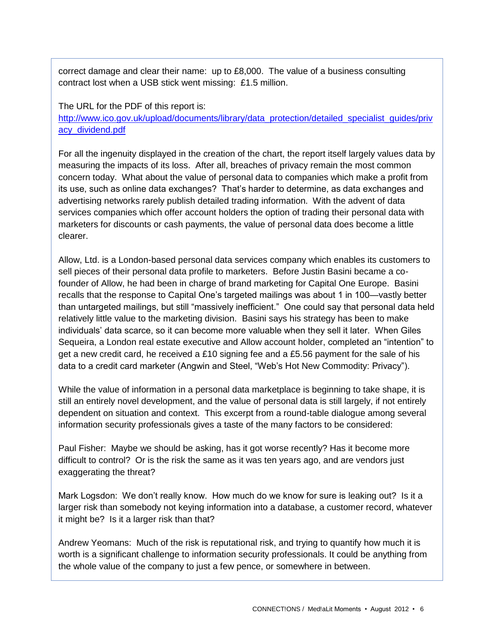correct damage and clear their name: up to £8,000. The value of a business consulting contract lost when a USB stick went missing: £1.5 million.

The URL for the PDF of this report is:

[http://www.ico.gov.uk/upload/documents/library/data\\_protection/detailed\\_specialist\\_guides/priv](http://www.ico.gov.uk/upload/documents/library/data_protection/detailed_specialist_guides/privacy_dividend.pdf) [acy\\_dividend.pdf](http://www.ico.gov.uk/upload/documents/library/data_protection/detailed_specialist_guides/privacy_dividend.pdf)

For all the ingenuity displayed in the creation of the chart, the report itself largely values data by measuring the impacts of its loss. After all, breaches of privacy remain the most common concern today. What about the value of personal data to companies which make a profit from its use, such as online data exchanges? That's harder to determine, as data exchanges and advertising networks rarely publish detailed trading information. With the advent of data services companies which offer account holders the option of trading their personal data with marketers for discounts or cash payments, the value of personal data does become a little clearer.

Allow, Ltd. is a London-based personal data services company which enables its customers to sell pieces of their personal data profile to marketers. Before Justin Basini became a cofounder of Allow, he had been in charge of brand marketing for Capital One Europe. Basini recalls that the response to Capital One's targeted mailings was about 1 in 100—vastly better than untargeted mailings, but still "massively inefficient." One could say that personal data held relatively little value to the marketing division. Basini says his strategy has been to make individuals' data scarce, so it can become more valuable when they sell it later. When Giles Sequeira, a London real estate executive and Allow account holder, completed an "intention" to get a new credit card, he received a £10 signing fee and a £5.56 payment for the sale of his data to a credit card marketer (Angwin and Steel, "Web's Hot New Commodity: Privacy").

While the value of information in a personal data marketplace is beginning to take shape, it is still an entirely novel development, and the value of personal data is still largely, if not entirely dependent on situation and context. This excerpt from a round-table dialogue among several information security professionals gives a taste of the many factors to be considered:

Paul Fisher: Maybe we should be asking, has it got worse recently? Has it become more difficult to control? Or is the risk the same as it was ten years ago, and are vendors just exaggerating the threat?

Mark Logsdon: We don't really know. How much do we know for sure is leaking out? Is it a larger risk than somebody not keying information into a database, a customer record, whatever it might be? Is it a larger risk than that?

Andrew Yeomans: Much of the risk is reputational risk, and trying to quantify how much it is worth is a significant challenge to information security professionals. It could be anything from the whole value of the company to just a few pence, or somewhere in between.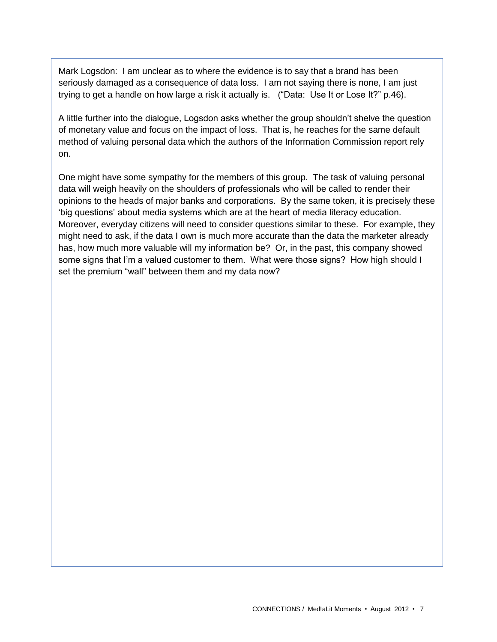Mark Logsdon: I am unclear as to where the evidence is to say that a brand has been seriously damaged as a consequence of data loss. I am not saying there is none, I am just trying to get a handle on how large a risk it actually is. ("Data: Use It or Lose It?" p.46).

A little further into the dialogue, Logsdon asks whether the group shouldn't shelve the question of monetary value and focus on the impact of loss. That is, he reaches for the same default method of valuing personal data which the authors of the Information Commission report rely on.

One might have some sympathy for the members of this group. The task of valuing personal data will weigh heavily on the shoulders of professionals who will be called to render their opinions to the heads of major banks and corporations. By the same token, it is precisely these 'big questions' about media systems which are at the heart of media literacy education. Moreover, everyday citizens will need to consider questions similar to these. For example, they might need to ask, if the data I own is much more accurate than the data the marketer already has, how much more valuable will my information be? Or, in the past, this company showed some signs that I'm a valued customer to them. What were those signs? How high should I set the premium "wall" between them and my data now?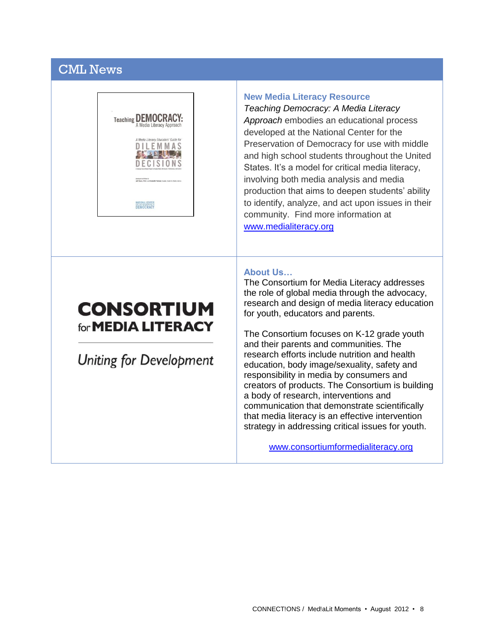# CML News



### **New Media Literacy Resource**

*Teaching Democracy: A Media Literacy Approach* embodies an educational process developed at the National Center for the Preservation of Democracy for use with middle and high school students throughout the United States. It's a model for critical media literacy, involving both media analysis and media production that aims to deepen students' ability to identify, analyze, and act upon issues in their community. Find more information at [www.medialiteracy.org](http://www.medialiteracy.org/)

### **About Us…**

The Consortium for Media Literacy addresses the role of global media through the advocacy, research and design of media literacy education for youth, educators and parents.

The Consortium focuses on K-12 grade youth and their parents and communities. The research efforts include nutrition and health education, body image/sexuality, safety and responsibility in media by consumers and creators of products. The Consortium is building a body of research, interventions and communication that demonstrate scientifically that media literacy is an effective intervention strategy in addressing critical issues for youth.

[www.consortiumformedialiteracy.org](http://www.consortiumformedialiteracy.org/)

# **CONSORTIUM** for **MEDIA LITERACY**

**Uniting for Development**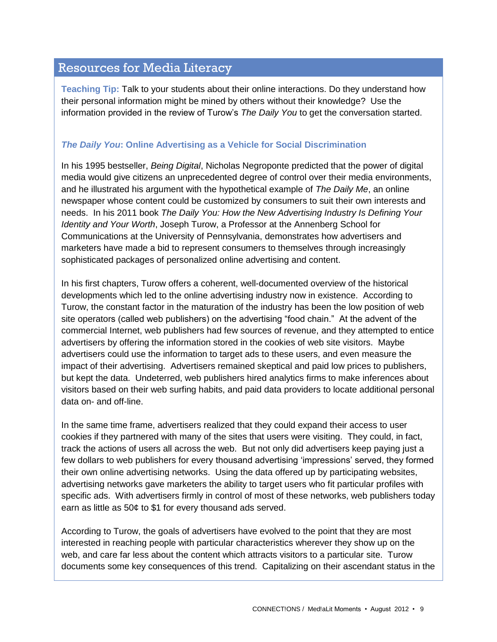# Resources for Media Literacy

**Teaching Tip:** Talk to your students about their online interactions. Do they understand how their personal information might be mined by others without their knowledge? Use the information provided in the review of Turow's *The Daily You* to get the conversation started.

## *The Daily You***: Online Advertising as a Vehicle for Social Discrimination**

In his 1995 bestseller, *Being Digital*, Nicholas Negroponte predicted that the power of digital media would give citizens an unprecedented degree of control over their media environments, and he illustrated his argument with the hypothetical example of *The Daily Me*, an online newspaper whose content could be customized by consumers to suit their own interests and needs. In his 2011 book *The Daily You: How the New Advertising Industry Is Defining Your Identity and Your Worth*, Joseph Turow, a Professor at the Annenberg School for Communications at the University of Pennsylvania, demonstrates how advertisers and marketers have made a bid to represent consumers to themselves through increasingly sophisticated packages of personalized online advertising and content.

In his first chapters, Turow offers a coherent, well-documented overview of the historical developments which led to the online advertising industry now in existence. According to Turow, the constant factor in the maturation of the industry has been the low position of web site operators (called web publishers) on the advertising "food chain." At the advent of the commercial Internet, web publishers had few sources of revenue, and they attempted to entice advertisers by offering the information stored in the cookies of web site visitors. Maybe advertisers could use the information to target ads to these users, and even measure the impact of their advertising. Advertisers remained skeptical and paid low prices to publishers, but kept the data. Undeterred, web publishers hired analytics firms to make inferences about visitors based on their web surfing habits, and paid data providers to locate additional personal data on- and off-line.

In the same time frame, advertisers realized that they could expand their access to user cookies if they partnered with many of the sites that users were visiting. They could, in fact, track the actions of users all across the web. But not only did advertisers keep paying just a few dollars to web publishers for every thousand advertising 'impressions' served, they formed their own online advertising networks. Using the data offered up by participating websites, advertising networks gave marketers the ability to target users who fit particular profiles with specific ads. With advertisers firmly in control of most of these networks, web publishers today earn as little as 50¢ to \$1 for every thousand ads served.

According to Turow, the goals of advertisers have evolved to the point that they are most interested in reaching people with particular characteristics wherever they show up on the web, and care far less about the content which attracts visitors to a particular site. Turow documents some key consequences of this trend. Capitalizing on their ascendant status in the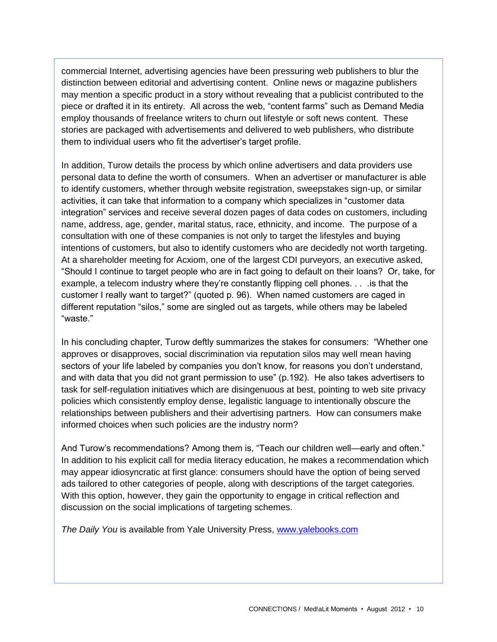commercial Internet, advertising agencies have been pressuring web publishers to blur the distinction between editorial and advertising content. Online news or magazine publishers may mention a specific product in a story without revealing that a publicist contributed to the piece or drafted it in its entirety. All across the web, "content farms" such as Demand Media employ thousands of freelance writers to churn out lifestyle or soft news content. These stories are packaged with advertisements and delivered to web publishers, who distribute them to individual users who fit the advertiser's target profile.

In addition, Turow details the process by which online advertisers and data providers use personal data to define the worth of consumers. When an advertiser or manufacturer is able to identify customers, whether through website registration, sweepstakes sign-up, or similar activities, it can take that information to a company which specializes in "customer data integration" services and receive several dozen pages of data codes on customers, including name, address, age, gender, marital status, race, ethnicity, and income. The purpose of a consultation with one of these companies is not only to target the lifestyles and buying intentions of customers, but also to identify customers who are decidedly not worth targeting. At a shareholder meeting for Acxiom, one of the largest CDI purveyors, an executive asked, "Should I continue to target people who are in fact going to default on their loans? Or, take, for example, a telecom industry where they're constantly flipping cell phones. . . .is that the customer I really want to target?" (quoted p. 96). When named customers are caged in different reputation "silos," some are singled out as targets, while others may be labeled "waste."

In his concluding chapter, Turow deftly summarizes the stakes for consumers: "Whether one approves or disapproves, social discrimination via reputation silos may well mean having sectors of your life labeled by companies you don't know, for reasons you don't understand, and with data that you did not grant permission to use" (p.192). He also takes advertisers to task for self-regulation initiatives which are disingenuous at best, pointing to web site privacy policies which consistently employ dense, legalistic language to intentionally obscure the relationships between publishers and their advertising partners. How can consumers make informed choices when such policies are the industry norm?

And Turow's recommendations? Among them is, "Teach our children well—early and often." In addition to his explicit call for media literacy education, he makes a recommendation which may appear idiosyncratic at first glance: consumers should have the option of being served ads tailored to other categories of people, along with descriptions of the target categories. With this option, however, they gain the opportunity to engage in critical reflection and discussion on the social implications of targeting schemes.

**The Daily You is available from Yale University Press, [www.yalebooks.com](http://www.yalebooks.com/)**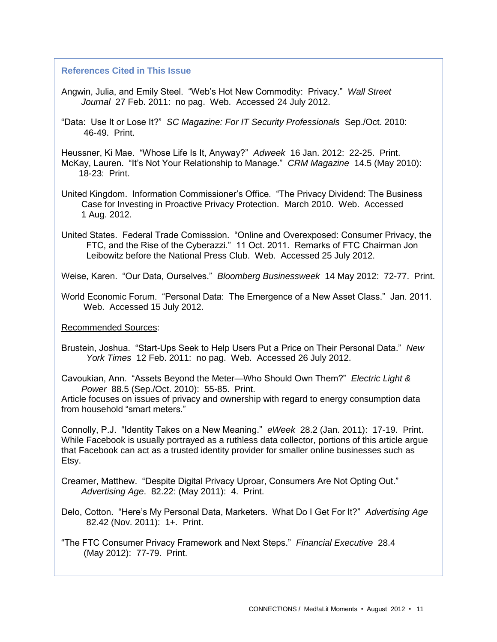#### **References Cited in This Issue**

- Angwin, Julia, and Emily Steel. "Web's Hot New Commodity: Privacy." *Wall Street Journal* 27 Feb. 2011: no pag. Web. Accessed 24 July 2012.
- "Data: Use It or Lose It?" *SC Magazine: For IT Security Professionals* Sep./Oct. 2010: 46-49. Print.

Heussner, Ki Mae. "Whose Life Is It, Anyway?" *Adweek* 16 Jan. 2012: 22-25. Print. McKay, Lauren. "It's Not Your Relationship to Manage." *CRM Magazine* 14.5 (May 2010): 18-23: Print.

United Kingdom. Information Commissioner's Office. "The Privacy Dividend: The Business Case for Investing in Proactive Privacy Protection. March 2010. Web. Accessed 1 Aug. 2012.

United States. Federal Trade Comisssion. "Online and Overexposed: Consumer Privacy, the FTC, and the Rise of the Cyberazzi." 11 Oct. 2011. Remarks of FTC Chairman Jon Leibowitz before the National Press Club. Web. Accessed 25 July 2012.

Weise, Karen. "Our Data, Ourselves." *Bloomberg Businessweek* 14 May 2012: 72-77. Print.

World Economic Forum. "Personal Data: The Emergence of a New Asset Class." Jan. 2011. Web. Accessed 15 July 2012.

Recommended Sources:

Brustein, Joshua. "Start-Ups Seek to Help Users Put a Price on Their Personal Data." *New York Times* 12 Feb. 2011: no pag. Web. Accessed 26 July 2012.

Cavoukian, Ann. "Assets Beyond the Meter—Who Should Own Them?" *Electric Light & Power* 88.5 (Sep./Oct. 2010): 55-85. Print.

Article focuses on issues of privacy and ownership with regard to energy consumption data from household "smart meters."

Connolly, P.J. "Identity Takes on a New Meaning." *eWeek* 28.2 (Jan. 2011): 17-19. Print. While Facebook is usually portrayed as a ruthless data collector, portions of this article argue that Facebook can act as a trusted identity provider for smaller online businesses such as Etsy.

Creamer, Matthew. "Despite Digital Privacy Uproar, Consumers Are Not Opting Out." *Advertising Age*. 82.22: (May 2011): 4. Print.

Delo, Cotton. "Here's My Personal Data, Marketers. What Do I Get For It?" *Advertising Age* 82.42 (Nov. 2011): 1+. Print.

"The FTC Consumer Privacy Framework and Next Steps." *Financial Executive* 28.4 (May 2012): 77-79. Print.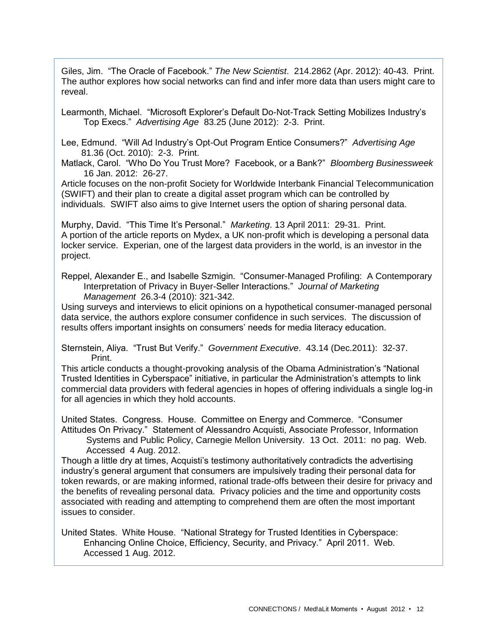Giles, Jim. "The Oracle of Facebook." *The New Scientist*. 214.2862 (Apr. 2012): 40-43. Print. The author explores how social networks can find and infer more data than users might care to reveal.

Learmonth, Michael. "Microsoft Explorer's Default Do-Not-Track Setting Mobilizes Industry's Top Execs." *Advertising Age* 83.25 (June 2012): 2-3. Print.

Lee, Edmund. "Will Ad Industry's Opt-Out Program Entice Consumers?" *Advertising Age* 81.36 (Oct. 2010): 2-3. Print.

Matlack, Carol. "Who Do You Trust More? Facebook, or a Bank?" *Bloomberg Businessweek* 16 Jan. 2012: 26-27.

Article focuses on the non-profit Society for Worldwide Interbank Financial Telecommunication (SWIFT) and their plan to create a digital asset program which can be controlled by individuals. SWIFT also aims to give Internet users the option of sharing personal data.

Murphy, David. "This Time It's Personal." *Marketing*. 13 April 2011: 29-31. Print. A portion of the article reports on Mydex, a UK non-profit which is developing a personal data locker service. Experian, one of the largest data providers in the world, is an investor in the project.

Reppel, Alexander E., and Isabelle Szmigin. "Consumer-Managed Profiling: A Contemporary Interpretation of Privacy in Buyer-Seller Interactions." *Journal of Marketing Management* 26.3-4 (2010): 321-342.

Using surveys and interviews to elicit opinions on a hypothetical consumer-managed personal data service, the authors explore consumer confidence in such services. The discussion of results offers important insights on consumers' needs for media literacy education.

Sternstein, Aliya. "Trust But Verify." *Government Executive*. 43.14 (Dec.2011): 32-37. Print.

This article conducts a thought-provoking analysis of the Obama Administration's "National Trusted Identities in Cyberspace" initiative, in particular the Administration's attempts to link commercial data providers with federal agencies in hopes of offering individuals a single log-in for all agencies in which they hold accounts.

United States. Congress. House. Committee on Energy and Commerce. "Consumer Attitudes On Privacy." Statement of Alessandro Acquisti, Associate Professor, Information

 Systems and Public Policy, Carnegie Mellon University. 13 Oct. 2011: no pag. Web. Accessed 4 Aug. 2012.

Though a little dry at times, Acquisti's testimony authoritatively contradicts the advertising industry's general argument that consumers are impulsively trading their personal data for token rewards, or are making informed, rational trade-offs between their desire for privacy and the benefits of revealing personal data. Privacy policies and the time and opportunity costs associated with reading and attempting to comprehend them are often the most important issues to consider.

United States. White House. "National Strategy for Trusted Identities in Cyberspace: Enhancing Online Choice, Efficiency, Security, and Privacy." April 2011. Web. Accessed 1 Aug. 2012.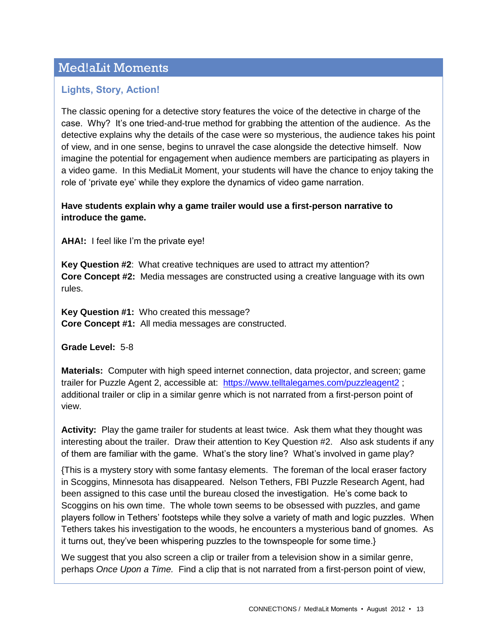# Med!aLit Moments

## **Lights, Story, Action!**

The classic opening for a detective story features the voice of the detective in charge of the case. Why? It's one tried-and-true method for grabbing the attention of the audience. As the detective explains why the details of the case were so mysterious, the audience takes his point of view, and in one sense, begins to unravel the case alongside the detective himself. Now imagine the potential for engagement when audience members are participating as players in a video game. In this MediaLit Moment, your students will have the chance to enjoy taking the role of 'private eye' while they explore the dynamics of video game narration.

### **Have students explain why a game trailer would use a first-person narrative to introduce the game.**

**AHA!:** I feel like I'm the private eye!

**Key Question #2**: What creative techniques are used to attract my attention? **Core Concept #2:** Media messages are constructed using a creative language with its own rules.

**Key Question #1:** Who created this message? **Core Concept #1:** All media messages are constructed.

**Grade Level:** 5-8

**Materials:** Computer with high speed internet connection, data projector, and screen; game trailer for Puzzle Agent 2, accessible at: <https://www.telltalegames.com/puzzleagent2> ; additional trailer or clip in a similar genre which is not narrated from a first-person point of view.

**Activity:** Play the game trailer for students at least twice. Ask them what they thought was interesting about the trailer. Draw their attention to Key Question #2. Also ask students if any of them are familiar with the game. What's the story line? What's involved in game play?

{This is a mystery story with some fantasy elements. The foreman of the local eraser factory in Scoggins, Minnesota has disappeared. Nelson Tethers, FBI Puzzle Research Agent, had been assigned to this case until the bureau closed the investigation. He's come back to Scoggins on his own time. The whole town seems to be obsessed with puzzles, and game players follow in Tethers' footsteps while they solve a variety of math and logic puzzles. When Tethers takes his investigation to the woods, he encounters a mysterious band of gnomes. As it turns out, they've been whispering puzzles to the townspeople for some time.}

We suggest that you also screen a clip or trailer from a television show in a similar genre, perhaps *Once Upon a Time.* Find a clip that is not narrated from a first-person point of view,